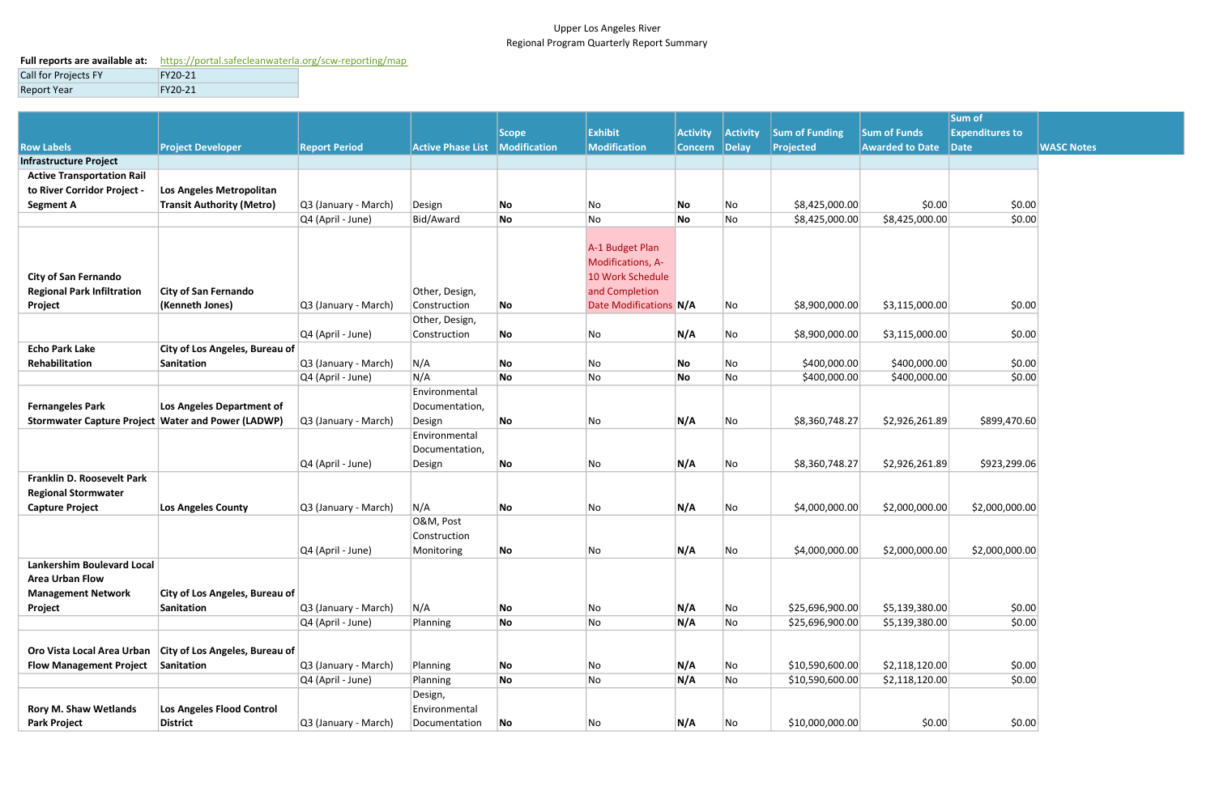## Upper Los Angeles River Regional Program Quarterly Report Summary

## Full reports are available at: https://portal.safecleanwaterla.org/scw-reporting/map Call for Projects FY FY20-21 Report Year FY20-21

|                                                    |                                  |                      |                          |                          |                        |                 |                          |                       |                        | Sum of                 |  |  |  |
|----------------------------------------------------|----------------------------------|----------------------|--------------------------|--------------------------|------------------------|-----------------|--------------------------|-----------------------|------------------------|------------------------|--|--|--|
|                                                    |                                  |                      |                          | Scope                    | Exhibit                | <b>Activity</b> | Activity                 | <b>Sum of Funding</b> | <b>Sum of Funds</b>    | <b>Expenditures to</b> |  |  |  |
| <b>Row Labels</b>                                  | <b>Project Developer</b>         | <b>Report Period</b> | <b>Active Phase List</b> | Modification             | Modification           | Concern Delay   |                          | <b>Projected</b>      | <b>Awarded to Date</b> | Date                   |  |  |  |
| <b>Infrastructure Project</b>                      |                                  |                      |                          |                          |                        |                 |                          |                       |                        |                        |  |  |  |
| <b>Active Transportation Rail</b>                  |                                  |                      |                          |                          |                        |                 |                          |                       |                        |                        |  |  |  |
| to River Corridor Project -                        | Los Angeles Metropolitan         |                      |                          |                          |                        |                 |                          |                       |                        |                        |  |  |  |
| <b>Segment A</b>                                   | <b>Transit Authority (Metro)</b> | Q3 (January - March) | Design                   | No                       | No                     | No              | No                       | \$8,425,000.00        | \$0.00                 | \$0.00                 |  |  |  |
|                                                    |                                  | Q4 (April - June)    | Bid/Award                | No                       | No                     | No              | No                       | \$8,425,000.00        | \$8,425,000.00         | \$0.00                 |  |  |  |
|                                                    |                                  |                      |                          |                          |                        |                 |                          |                       |                        |                        |  |  |  |
|                                                    |                                  |                      |                          |                          | A-1 Budget Plan        |                 |                          |                       |                        |                        |  |  |  |
|                                                    |                                  |                      |                          |                          | Modifications, A-      |                 |                          |                       |                        |                        |  |  |  |
| <b>City of San Fernando</b>                        |                                  |                      |                          |                          | 10 Work Schedule       |                 |                          |                       |                        |                        |  |  |  |
| <b>Regional Park Infiltration</b>                  | <b>City of San Fernando</b>      |                      | Other, Design,           |                          | and Completion         |                 |                          |                       |                        |                        |  |  |  |
|                                                    | (Kenneth Jones)                  |                      | Construction             |                          | Date Modifications N/A |                 |                          | \$8,900,000.00        | \$3,115,000.00         | \$0.00                 |  |  |  |
| Project                                            |                                  | Q3 (January - March) |                          | No                       |                        |                 | No                       |                       |                        |                        |  |  |  |
|                                                    |                                  |                      | Other, Design,           |                          |                        |                 |                          |                       |                        |                        |  |  |  |
|                                                    |                                  | Q4 (April - June)    | Construction             | No                       | No                     | N/A             | No                       | \$8,900,000.00        | \$3,115,000.00         | \$0.00                 |  |  |  |
| <b>Echo Park Lake</b>                              | City of Los Angeles, Bureau of   |                      |                          |                          |                        |                 |                          |                       |                        |                        |  |  |  |
| Rehabilitation                                     | Sanitation                       | Q3 (January - March) | N/A                      | No                       | No                     | No              | No                       | \$400,000.00          | \$400,000.00           | \$0.00                 |  |  |  |
|                                                    |                                  | Q4 (April - June)    | N/A                      | No                       | No                     | No              | No                       | \$400,000.00          | \$400,000.00           | \$0.00                 |  |  |  |
|                                                    |                                  |                      | Environmental            |                          |                        |                 |                          |                       |                        |                        |  |  |  |
| <b>Fernangeles Park</b>                            | Los Angeles Department of        |                      | Documentation,           |                          |                        |                 |                          |                       |                        |                        |  |  |  |
| Stormwater Capture Project Water and Power (LADWP) |                                  | Q3 (January - March) | Design                   | No                       | No                     | N/A             | No                       | \$8,360,748.27        | \$2,926,261.89         | \$899,470.60           |  |  |  |
|                                                    |                                  |                      | Environmental            |                          |                        |                 |                          |                       |                        |                        |  |  |  |
|                                                    |                                  |                      | Documentation,           |                          |                        |                 |                          |                       |                        |                        |  |  |  |
|                                                    |                                  | Q4 (April - June)    | Design                   | No                       | No                     | N/A             | No                       | \$8,360,748.27        | \$2,926,261.89         | \$923,299.06           |  |  |  |
| Franklin D. Roosevelt Park                         |                                  |                      |                          |                          |                        |                 |                          |                       |                        |                        |  |  |  |
| <b>Regional Stormwater</b>                         |                                  |                      |                          |                          |                        |                 |                          |                       |                        |                        |  |  |  |
| <b>Capture Project</b>                             | <b>Los Angeles County</b>        | Q3 (January - March) | N/A                      | No                       | No                     | N/A             | No                       | \$4,000,000.00        | \$2,000,000.00         | \$2,000,000.00         |  |  |  |
|                                                    |                                  |                      | O&M, Post                |                          |                        |                 |                          |                       |                        |                        |  |  |  |
|                                                    |                                  |                      | Construction             |                          |                        |                 |                          |                       |                        |                        |  |  |  |
|                                                    |                                  | $Q4$ (April - June)  | Monitoring               | No                       | No                     | N/A             | No                       | \$4,000,000.00        | \$2,000,000.00         | \$2,000,000.00         |  |  |  |
| <b>Lankershim Boulevard Local</b>                  |                                  |                      |                          |                          |                        |                 |                          |                       |                        |                        |  |  |  |
| <b>Area Urban Flow</b>                             |                                  |                      |                          |                          |                        |                 |                          |                       |                        |                        |  |  |  |
| <b>Management Network</b>                          | City of Los Angeles, Bureau of   |                      |                          |                          |                        |                 |                          |                       |                        |                        |  |  |  |
| Project                                            | Sanitation                       | Q3 (January - March) | N/A                      | No                       | No                     | N/A             | $\overline{\mathsf{No}}$ | \$25,696,900.00       | \$5,139,380.00         | \$0.00                 |  |  |  |
|                                                    |                                  | Q4 (April - June)    | Planning                 | No                       | No                     | N/A             | No                       | \$25,696,900.00       | \$5,139,380.00         | \$0.00                 |  |  |  |
|                                                    |                                  |                      |                          |                          |                        |                 |                          |                       |                        |                        |  |  |  |
| Oro Vista Local Area Urban                         | City of Los Angeles, Bureau of   |                      |                          |                          |                        |                 |                          |                       |                        |                        |  |  |  |
| <b>Flow Management Project</b>                     | Sanitation                       | Q3 (January - March) | Planning                 | No                       | No                     | N/A             | $\overline{\mathsf{No}}$ | \$10,590,600.00       | \$2,118,120.00         | \$0.00                 |  |  |  |
|                                                    |                                  | Q4 (April - June)    | Planning                 | No                       | No                     | N/A             | No                       | \$10,590,600.00       | \$2,118,120.00         | \$0.00                 |  |  |  |
|                                                    |                                  |                      | Design,                  |                          |                        |                 |                          |                       |                        |                        |  |  |  |
| <b>Rory M. Shaw Wetlands</b>                       | Los Angeles Flood Control        |                      | Environmental            |                          |                        |                 |                          |                       |                        |                        |  |  |  |
| <b>Park Project</b>                                | District                         | Q3 (January - March) | Documentation            | $\overline{\mathsf{No}}$ | No                     | N/A             | $\overline{\mathsf{No}}$ | \$10,000,000.00       | \$0.00                 | \$0.00                 |  |  |  |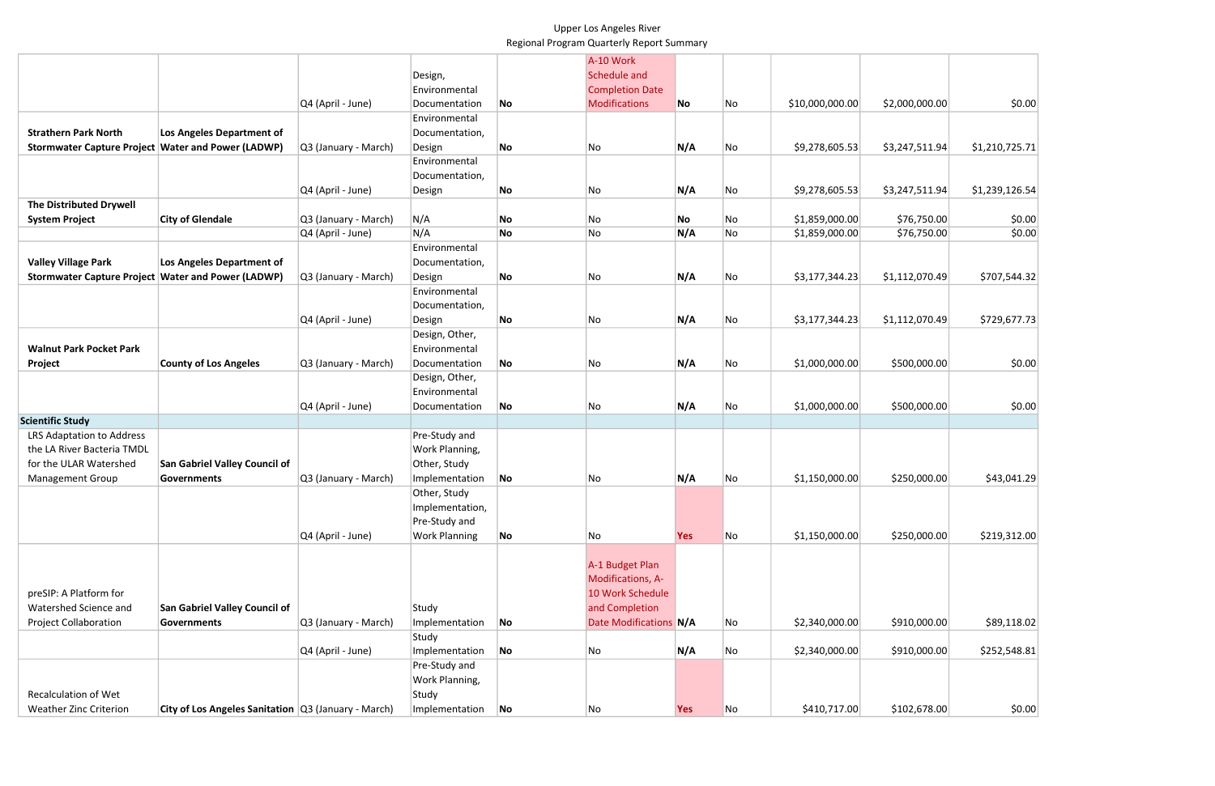## Upper Los Angeles River Regional Program Quarterly Report Summary

|                                                      |                                                         |                      |                      |    | A-10 Work              |            |    |                 |                |                |
|------------------------------------------------------|---------------------------------------------------------|----------------------|----------------------|----|------------------------|------------|----|-----------------|----------------|----------------|
|                                                      |                                                         |                      | Design,              |    | Schedule and           |            |    |                 |                |                |
|                                                      |                                                         |                      | Environmental        |    | <b>Completion Date</b> |            |    |                 |                |                |
|                                                      |                                                         | Q4 (April - June)    | Documentation        | No | Modifications          | No         | No | \$10,000,000.00 | \$2,000,000.00 | \$0.00         |
|                                                      |                                                         |                      | Environmental        |    |                        |            |    |                 |                |                |
| <b>Strathern Park North</b>                          | Los Angeles Department of                               |                      | Documentation,       |    |                        |            |    |                 |                |                |
| Stormwater Capture Project   Water and Power (LADWP) |                                                         | Q3 (January - March) | Design               | No | No                     | N/A        | No | \$9,278,605.53  | \$3,247,511.94 | \$1,210,725.71 |
|                                                      |                                                         |                      | Environmental        |    |                        |            |    |                 |                |                |
|                                                      |                                                         |                      | Documentation,       |    |                        |            |    |                 |                |                |
|                                                      |                                                         | Q4 (April - June)    | Design               | No | No                     | N/A        | No | \$9,278,605.53  | \$3,247,511.94 | \$1,239,126.54 |
| <b>The Distributed Drywell</b>                       |                                                         |                      |                      |    |                        |            |    |                 |                |                |
| <b>System Project</b>                                | <b>City of Glendale</b>                                 | Q3 (January - March) | N/A                  | No | No                     | No         | No | \$1,859,000.00  | \$76,750.00    | \$0.00         |
|                                                      |                                                         | Q4 (April - June)    | N/A                  | No | No                     | N/A        | No | \$1,859,000.00  | \$76,750.00    | \$0.00         |
|                                                      |                                                         |                      | Environmental        |    |                        |            |    |                 |                |                |
| <b>Valley Village Park</b>                           | Los Angeles Department of                               |                      | Documentation,       |    |                        |            |    |                 |                |                |
| Stormwater Capture Project   Water and Power (LADWP) |                                                         | Q3 (January - March) | Design               | No | No                     | N/A        | No | \$3,177,344.23  | \$1,112,070.49 | \$707,544.32   |
|                                                      |                                                         |                      | Environmental        |    |                        |            |    |                 |                |                |
|                                                      |                                                         |                      | Documentation,       |    |                        |            |    |                 |                |                |
|                                                      |                                                         | Q4 (April - June)    | Design               | No | No                     | N/A        | No | \$3,177,344.23  | \$1,112,070.49 | \$729,677.73   |
|                                                      |                                                         |                      | Design, Other,       |    |                        |            |    |                 |                |                |
| <b>Walnut Park Pocket Park</b>                       |                                                         |                      | Environmental        |    |                        |            |    |                 |                |                |
| Project                                              | <b>County of Los Angeles</b>                            | Q3 (January - March) | Documentation        | No | No                     | N/A        | No | \$1,000,000.00  | \$500,000.00   | \$0.00         |
|                                                      |                                                         |                      | Design, Other,       |    |                        |            |    |                 |                |                |
|                                                      |                                                         |                      | Environmental        |    |                        |            |    |                 |                |                |
|                                                      |                                                         | Q4 (April - June)    | Documentation        | No | No                     | N/A        | No | \$1,000,000.00  | \$500,000.00   | \$0.00         |
| <b>Scientific Study</b>                              |                                                         |                      |                      |    |                        |            |    |                 |                |                |
| LRS Adaptation to Address                            |                                                         |                      | Pre-Study and        |    |                        |            |    |                 |                |                |
| the LA River Bacteria TMDL                           |                                                         |                      | Work Planning,       |    |                        |            |    |                 |                |                |
| for the ULAR Watershed                               | <b>San Gabriel Valley Council of</b>                    |                      | Other, Study         |    |                        |            |    |                 |                |                |
| <b>Management Group</b>                              | <b>Governments</b>                                      | Q3 (January - March) | Implementation       | No | No                     | N/A        | No | \$1,150,000.00  | \$250,000.00   | \$43,041.29    |
|                                                      |                                                         |                      | Other, Study         |    |                        |            |    |                 |                |                |
|                                                      |                                                         |                      | Implementation,      |    |                        |            |    |                 |                |                |
|                                                      |                                                         |                      | Pre-Study and        |    |                        |            |    |                 |                |                |
|                                                      |                                                         | Q4 (April - June)    | <b>Work Planning</b> | No | No                     | <b>Yes</b> | No | \$1,150,000.00  | \$250,000.00   | \$219,312.00   |
|                                                      |                                                         |                      |                      |    |                        |            |    |                 |                |                |
|                                                      |                                                         |                      |                      |    | A-1 Budget Plan        |            |    |                 |                |                |
|                                                      |                                                         |                      |                      |    | Modifications, A-      |            |    |                 |                |                |
| preSIP: A Platform for                               |                                                         |                      |                      |    | 10 Work Schedule       |            |    |                 |                |                |
| Watershed Science and                                | San Gabriel Valley Council of                           |                      | Study                |    | and Completion         |            |    |                 |                |                |
| <b>Project Collaboration</b>                         | <b>Governments</b>                                      | Q3 (January - March) | Implementation       | No | Date Modifications N/A |            | No | \$2,340,000.00  | \$910,000.00   | \$89,118.02    |
|                                                      |                                                         |                      | Study                |    |                        |            |    |                 |                |                |
|                                                      |                                                         | Q4 (April - June)    | Implementation       | No | No                     | N/A        | No | \$2,340,000.00  | \$910,000.00   | \$252,548.81   |
|                                                      |                                                         |                      | Pre-Study and        |    |                        |            |    |                 |                |                |
|                                                      |                                                         |                      | Work Planning,       |    |                        |            |    |                 |                |                |
| <b>Recalculation of Wet</b>                          |                                                         |                      | Study                |    |                        |            |    |                 |                |                |
| <b>Weather Zinc Criterion</b>                        | City of Los Angeles Sanitation $ Q3 $ (January - March) |                      | Implementation       | No | No                     | <b>Yes</b> | No | \$410,717.00    | \$102,678.00   | \$0.00         |